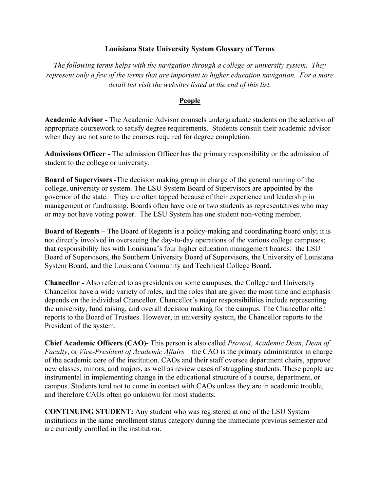### **Louisiana State University System Glossary of Terms**

*The following terms helps with the navigation through a college or university system. They represent only a few of the terms that are important to higher education navigation. For a more detail list visit the websites listed at the end of this list.*

#### **People**

**Academic Advisor -** The Academic Advisor counsels undergraduate students on the selection of appropriate coursework to satisfy degree requirements. Students consult their academic advisor when they are not sure to the courses required for degree completion.

**Admissions Officer -** The admission Officer has the primary responsibility or the admission of student to the college or university.

**Board of Supervisors -**The decision making group in charge of the general running of the college, university or system. The LSU System Board of Supervisors are appointed by the governor of the state. They are often tapped because of their experience and leadership in management or fundraising. Boards often have one or two students as representatives who may or may not have voting power. The LSU System has one student non-voting member.

**Board of Regents –** The Board of Regents is a policy-making and coordinating board only; it is not directly involved in overseeing the day-to-day operations of the various college campuses; that responsibility lies with Louisiana's four higher education management boards: the LSU Board of Supervisors, the Southern University Board of Supervisors, the University of Louisiana System Board, and the Louisiana Community and Technical College Board.

**Chancellor -** Also referred to as presidents on some campuses, the College and University Chancellor have a wide variety of roles, and the roles that are given the most time and emphasis depends on the individual Chancellor. Chancellor's major responsibilities include representing the university, fund raising, and overall decision making for the campus. The Chancellor often reports to the Board of Trustees. However, in university system, the Chancellor reports to the President of the system.

**Chief Academic Officers (CAO)-** This person is also called *Provost*, *Academic Dean*, *Dean of Faculty*, or *Vice-President of Academic Affairs* – the CAO is the primary administrator in charge of the academic core of the institution. CAOs and their staff oversee department chairs, approve new classes, minors, and majors, as well as review cases of struggling students. These people are instrumental in implementing change in the educational structure of a course, department, or campus. Students tend not to come in contact with CAOs unless they are in academic trouble, and therefore CAOs often go unknown for most students.

**CONTINUING STUDENT:** Any student who was registered at one of the LSU System institutions in the same enrollment status category during the immediate previous semester and are currently enrolled in the institution.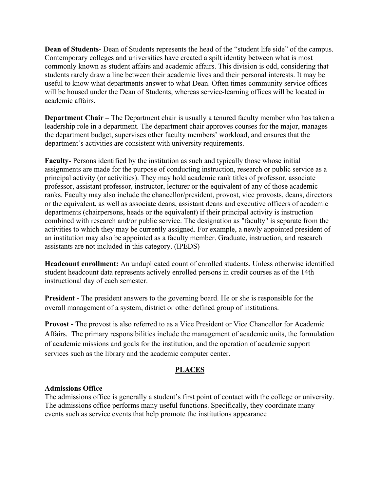**Dean of Students-** Dean of Students represents the head of the "student life side" of the campus. Contemporary colleges and universities have created a spilt identity between what is most commonly known as student affairs and academic affairs. This division is odd, considering that students rarely draw a line between their academic lives and their personal interests. It may be useful to know what departments answer to what Dean. Often times community service offices will be housed under the Dean of Students, whereas service-learning offices will be located in academic affairs.

**Department Chair** – The Department chair is usually a tenured faculty member who has taken a leadership role in a department. The department chair approves courses for the major, manages the department budget, supervises other faculty members' workload, and ensures that the department's activities are consistent with university requirements.

**Faculty-** Persons identified by the institution as such and typically those whose initial assignments are made for the purpose of conducting instruction, research or public service as a principal activity (or activities). They may hold academic rank titles of professor, associate professor, assistant professor, instructor, lecturer or the equivalent of any of those academic ranks. Faculty may also include the chancellor/president, provost, vice provosts, deans, directors or the equivalent, as well as associate deans, assistant deans and executive officers of academic departments (chairpersons, heads or the equivalent) if their principal activity is instruction combined with research and/or public service. The designation as "faculty" is separate from the activities to which they may be currently assigned. For example, a newly appointed president of an institution may also be appointed as a faculty member. Graduate, instruction, and research assistants are not included in this category. (IPEDS)

**Headcount enrollment:** An unduplicated count of enrolled students. Unless otherwise identified student headcount data represents actively enrolled persons in credit courses as of the 14th instructional day of each semester.

**President -** The president answers to the governing board. He or she is responsible for the overall management of a system, district or other defined group of institutions.

**Provost -** The provost is also referred to as a Vice President or Vice Chancellor for Academic Affairs. The primary responsibilities include the management of academic units, the formulation of academic missions and goals for the institution, and the operation of academic support services such as the library and the academic computer center.

# **PLACES**

# **Admissions Office**

The admissions office is generally a student's first point of contact with the college or university. The admissions office performs many useful functions. Specifically, they coordinate many events such as service events that help promote the institutions appearance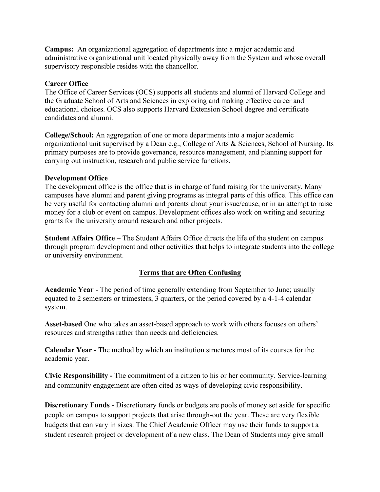**Campus:** An organizational aggregation of departments into a major academic and administrative organizational unit located physically away from the System and whose overall supervisory responsible resides with the chancellor.

## **Career Office**

The Office of Career Services (OCS) supports all students and alumni of Harvard College and the Graduate School of Arts and Sciences in exploring and making effective career and educational choices. OCS also supports Harvard Extension School degree and certificate candidates and alumni.

**College/School:** An aggregation of one or more departments into a major academic organizational unit supervised by a Dean e.g., College of Arts & Sciences, School of Nursing. Its primary purposes are to provide governance, resource management, and planning support for carrying out instruction, research and public service functions.

#### **Development Office**

The development office is the office that is in charge of fund raising for the university. Many campuses have alumni and parent giving programs as integral parts of this office. This office can be very useful for contacting alumni and parents about your issue/cause, or in an attempt to raise money for a club or event on campus. Development offices also work on writing and securing grants for the university around research and other projects.

**Student Affairs Office** – The Student Affairs Office directs the life of the student on campus through program development and other activities that helps to integrate students into the college or university environment.

# **Terms that are Often Confusing**

**Academic Year** - The period of time generally extending from September to June; usually equated to 2 semesters or trimesters, 3 quarters, or the period covered by a 4-1-4 calendar system.

**Asset-based** One who takes an asset-based approach to work with others focuses on others' resources and strengths rather than needs and deficiencies.

**Calendar Year** - The method by which an institution structures most of its courses for the academic year.

**Civic Responsibility -** The commitment of a citizen to his or her community. Service-learning and community engagement are often cited as ways of developing civic responsibility.

**Discretionary Funds -** Discretionary funds or budgets are pools of money set aside for specific people on campus to support projects that arise through-out the year. These are very flexible budgets that can vary in sizes. The Chief Academic Officer may use their funds to support a student research project or development of a new class. The Dean of Students may give small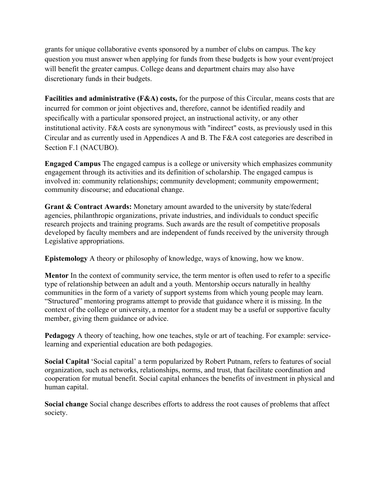grants for unique collaborative events sponsored by a number of clubs on campus. The key question you must answer when applying for funds from these budgets is how your event/project will benefit the greater campus. College deans and department chairs may also have discretionary funds in their budgets.

**Facilities and administrative (F&A) costs,** for the purpose of this Circular, means costs that are incurred for common or joint objectives and, therefore, cannot be identified readily and specifically with a particular sponsored project, an instructional activity, or any other institutional activity. F&A costs are synonymous with "indirect" costs, as previously used in this Circular and as currently used in Appendices A and B. The F&A cost categories are described in Section F.1 (NACUBO).

**Engaged Campus** The engaged campus is a college or university which emphasizes community engagement through its activities and its definition of scholarship. The engaged campus is involved in: community relationships; community development; community empowerment; community discourse; and educational change.

**Grant & Contract Awards:** Monetary amount awarded to the university by state/federal agencies, philanthropic organizations, private industries, and individuals to conduct specific research projects and training programs. Such awards are the result of competitive proposals developed by faculty members and are independent of funds received by the university through Legislative appropriations.

**Epistemology** A theory or philosophy of knowledge, ways of knowing, how we know.

**Mentor** In the context of community service, the term mentor is often used to refer to a specific type of relationship between an adult and a youth. Mentorship occurs naturally in healthy communities in the form of a variety of support systems from which young people may learn. "Structured" mentoring programs attempt to provide that guidance where it is missing. In the context of the college or university, a mentor for a student may be a useful or supportive faculty member, giving them guidance or advice.

**Pedagogy** A theory of teaching, how one teaches, style or art of teaching. For example: servicelearning and experiential education are both pedagogies.

**Social Capital** 'Social capital' a term popularized by Robert Putnam, refers to features of social organization, such as networks, relationships, norms, and trust, that facilitate coordination and cooperation for mutual benefit. Social capital enhances the benefits of investment in physical and human capital.

**Social change** Social change describes efforts to address the root causes of problems that affect society.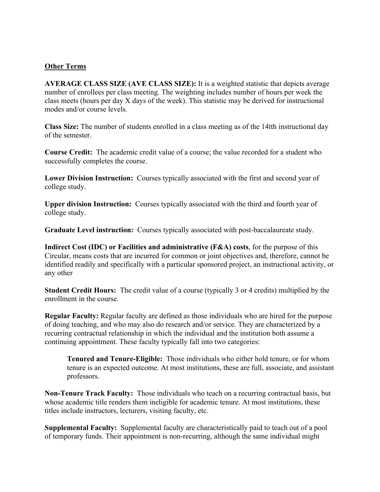## **Other Terms**

**AVERAGE CLASS SIZE (AVE CLASS SIZE):** It is a weighted statistic that depicts average number of enrollees per class meeting. The weighting includes number of hours per week the class meets (hours per day X days of the week). This statistic may be derived for instructional modes and/or course levels.

**Class Size:** The number of students enrolled in a class meeting as of the 14tth instructional day of the semester.

**Course Credit:** The academic credit value of a course; the value recorded for a student who successfully completes the course.

**Lower Division Instruction:** Courses typically associated with the first and second year of college study.

**Upper division Instruction:** Courses typically associated with the third and fourth year of college study.

**Graduate Level instruction:** Courses typically associated with post-baccalaureate study.

**Indirect Cost (IDC) or Facilities and administrative (F&A) costs**, for the purpose of this Circular, means costs that are incurred for common or joint objectives and, therefore, cannot be identified readily and specifically with a particular sponsored project, an instructional activity, or any other

**Student Credit Hours:** The credit value of a course (typically 3 or 4 credits) multiplied by the enrollment in the course.

**Regular Faculty:** Regular faculty are defined as those individuals who are hired for the purpose of doing teaching, and who may also do research and/or service. They are characterized by a recurring contractual relationship in which the individual and the institution both assume a continuing appointment. These faculty typically fall into two categories:

**Tenured and Tenure-Eligible:** Those individuals who either hold tenure, or for whom tenure is an expected outcome. At most institutions, these are full, associate, and assistant professors.

**Non-Tenure Track Faculty:** Those individuals who teach on a recurring contractual basis, but whose academic title renders them ineligible for academic tenure. At most institutions, these titles include instructors, lecturers, visiting faculty, etc.

**Supplemental Faculty:** Supplemental faculty are characteristically paid to teach out of a pool of temporary funds. Their appointment is non-recurring, although the same individual might